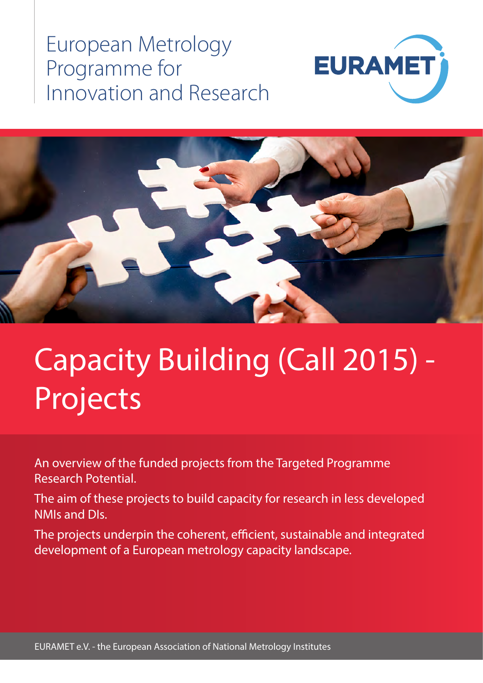## European Metrology Programme for Innovation and Research





# Capacity Building (Call 2015) - Projects

An overview of the funded projects from the Targeted Programme Research Potential.

The aim of these projects to build capacity for research in less developed NMIs and DIs.

The projects underpin the coherent, efficient, sustainable and integrated development of a European metrology capacity landscape.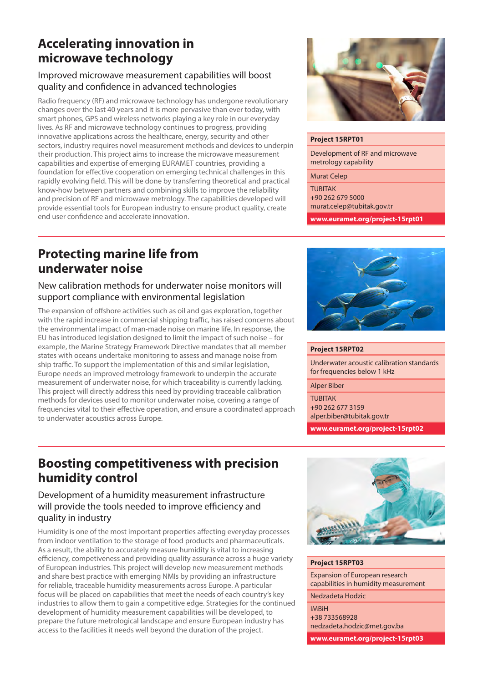## **Accelerating innovation in microwave technology**

## Improved microwave measurement capabilities will boost quality and confidence in advanced technologies

Radio frequency (RF) and microwave technology has undergone revolutionary changes over the last 40 years and it is more pervasive than ever today, with smart phones, GPS and wireless networks playing a key role in our everyday lives. As RF and microwave technology continues to progress, providing innovative applications across the healthcare, energy, security and other sectors, industry requires novel measurement methods and devices to underpin their production. This project aims to increase the microwave measurement capabilities and expertise of emerging EURAMET countries, providing a foundation for effective cooperation on emerging technical challenges in this rapidly evolving field. This will be done by transferring theoretical and practical know-how between partners and combining skills to improve the reliability and precision of RF and microwave metrology. The capabilities developed will provide essential tools for European industry to ensure product quality, create end user confidence and accelerate innovation.



#### **Project 15RPT01**

Development of RF and microwave metrology capability

Murat Celep

TUBITAK +90 262 679 5000 murat.celep@tubitak.gov.tr

**www.euramet.org/project-15rpt01**

## **Protecting marine life from underwater noise**

## New calibration methods for underwater noise monitors will support compliance with environmental legislation

The expansion of offshore activities such as oil and gas exploration, together with the rapid increase in commercial shipping traffic, has raised concerns about the environmental impact of man-made noise on marine life. In response, the EU has introduced legislation designed to limit the impact of such noise – for example, the Marine Strategy Framework Directive mandates that all member states with oceans undertake monitoring to assess and manage noise from ship traffic. To support the implementation of this and similar legislation, Europe needs an improved metrology framework to underpin the accurate measurement of underwater noise, for which traceability is currently lacking. This project will directly address this need by providing traceable calibration methods for devices used to monitor underwater noise, covering a range of frequencies vital to their effective operation, and ensure a coordinated approach to underwater acoustics across Europe.



#### **Project 15RPT02**

Underwater acoustic calibration standards for frequencies below 1 kHz

Alper Biber

**TURITAK** +90 262 677 3159 alper.biber@tubitak.gov.tr

**www.euramet.org/project-15rpt02**

## **Boosting competitiveness with precision humidity control**

Development of a humidity measurement infrastructure will provide the tools needed to improve efficiency and quality in industry

Humidity is one of the most important properties affecting everyday processes from indoor ventilation to the storage of food products and pharmaceuticals. As a result, the ability to accurately measure humidity is vital to increasing efficiency, competiveness and providing quality assurance across a huge variety of European industries. This project will develop new measurement methods and share best practice with emerging NMIs by providing an infrastructure for reliable, traceable humidity measurements across Europe. A particular focus will be placed on capabilities that meet the needs of each country's key industries to allow them to gain a competitive edge. Strategies for the continued development of humidity measurement capabilities will be developed, to prepare the future metrological landscape and ensure European industry has access to the facilities it needs well beyond the duration of the project.



#### **Project 15RPT03**

Expansion of European research capabilities in humidity measurement

Nedzadeta Hodzic

#### IMBiH

+38 733568928 nedzadeta.hodzic@met.gov.ba

**www.euramet.org/project-15rpt03**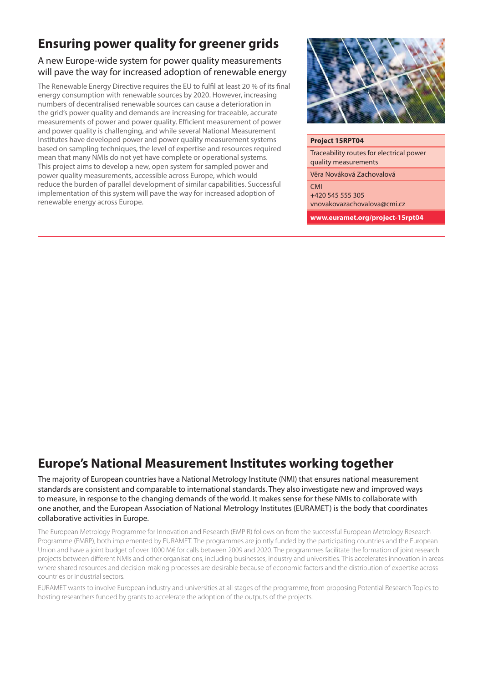## **Ensuring power quality for greener grids**

## A new Europe-wide system for power quality measurements will pave the way for increased adoption of renewable energy

The Renewable Energy Directive requires the EU to fulfil at least 20 % of its final energy consumption with renewable sources by 2020. However, increasing numbers of decentralised renewable sources can cause a deterioration in the grid's power quality and demands are increasing for traceable, accurate measurements of power and power quality. Efficient measurement of power and power quality is challenging, and while several National Measurement Institutes have developed power and power quality measurement systems based on sampling techniques, the level of expertise and resources required mean that many NMIs do not yet have complete or operational systems. This project aims to develop a new, open system for sampled power and power quality measurements, accessible across Europe, which would reduce the burden of parallel development of similar capabilities. Successful implementation of this system will pave the way for increased adoption of renewable energy across Europe.



#### **Project 15RPT04**

Traceability routes for electrical power quality measurements

Věra Nováková Zachovalová

**CMI** +420 545 555 305 vnovakovazachovalova@cmi.cz

**www.euramet.org/project-15rpt04**

## **Europe's National Measurement Institutes working together**

The majority of European countries have a National Metrology Institute (NMI) that ensures national measurement standards are consistent and comparable to international standards. They also investigate new and improved ways to measure, in response to the changing demands of the world. It makes sense for these NMIs to collaborate with one another, and the European Association of National Metrology Institutes (EURAMET) is the body that coordinates collaborative activities in Europe.

The European Metrology Programme for Innovation and Research (EMPIR) follows on from the successful European Metrology Research Programme (EMRP), both implemented by EURAMET. The programmes are jointly funded by the participating countries and the European Union and have a joint budget of over 1000 M€ for calls between 2009 and 2020. The programmes facilitate the formation of joint research projects between different NMIs and other organisations, including businesses, industry and universities. This accelerates innovation in areas where shared resources and decision-making processes are desirable because of economic factors and the distribution of expertise across countries or industrial sectors.

EURAMET wants to involve European industry and universities at all stages of the programme, from proposing Potential Research Topics to hosting researchers funded by grants to accelerate the adoption of the outputs of the projects.